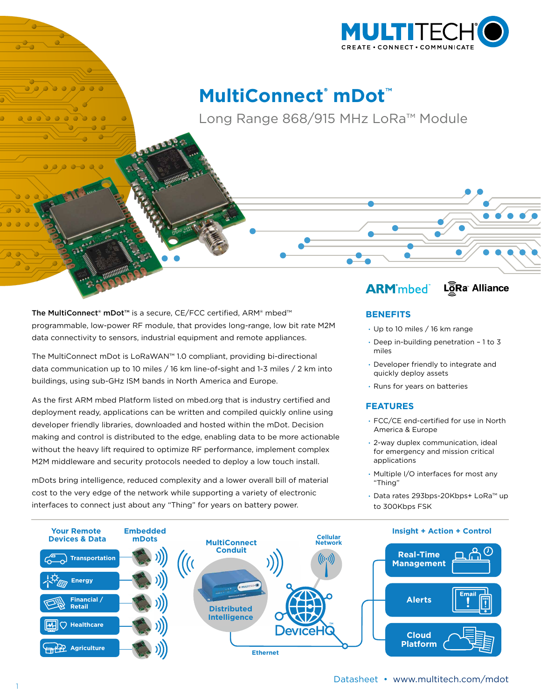

# **MultiConnect**®  **mDot**™

Long Range 868/915 MHz LoRa™ Module

The MultiConnect® mDot™ is a secure, CE/FCC certified, ARM® mbed™ programmable, low-power RF module, that provides long-range, low bit rate M2M data connectivity to sensors, industrial equipment and remote appliances.

The MultiConnect mDot is LoRaWAN™ 1.0 compliant, providing bi-directional data communication up to 10 miles / 16 km line-of-sight and 1-3 miles / 2 km into buildings, using sub-GHz ISM bands in North America and Europe.

As the first ARM mbed Platform listed on mbed.org that is industry certified and deployment ready, applications can be written and compiled quickly online using developer friendly libraries, downloaded and hosted within the mDot. Decision making and control is distributed to the edge, enabling data to be more actionable without the heavy lift required to optimize RF performance, implement complex M2M middleware and security protocols needed to deploy a low touch install.

mDots bring intelligence, reduced complexity and a lower overall bill of material cost to the very edge of the network while supporting a variety of electronic interfaces to connect just about any "Thing" for years on battery power.

#### LôRa Alliance **ARM** mbed

# **BENEFITS**

- · Up to 10 miles / 16 km range
- · Deep in-building penetration 1 to 3 miles
- · Developer friendly to integrate and quickly deploy assets
- · Runs for years on batteries

### **FEATURES**

- · FCC/CE end-certified for use in North America & Europe
- · 2-way duplex communication, ideal for emergency and mission critical applications
- · Multiple I/O interfaces for most any "Thing"
- · Data rates 293bps-20Kbps+ LoRa™ up to 300Kbps FSK



 $\bullet$   $\bullet$   $\bullet$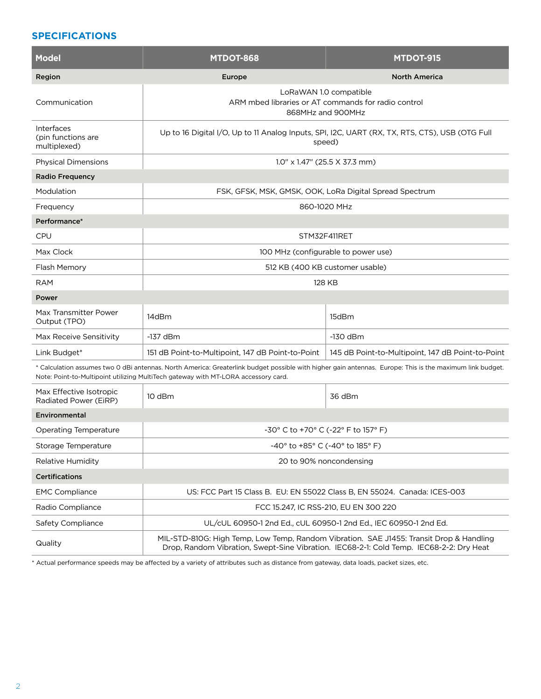# **SPECIFICATIONS**

| <b>Model</b>                                                                                                                                                                                                                                   | <b>MTDOT-868</b>                                                                                                                                                                   | <b>MTDOT-915</b>                                  |  |  |
|------------------------------------------------------------------------------------------------------------------------------------------------------------------------------------------------------------------------------------------------|------------------------------------------------------------------------------------------------------------------------------------------------------------------------------------|---------------------------------------------------|--|--|
| Region                                                                                                                                                                                                                                         | Europe                                                                                                                                                                             | <b>North America</b>                              |  |  |
| Communication                                                                                                                                                                                                                                  | LoRaWAN 1.0 compatible<br>ARM mbed libraries or AT commands for radio control<br>868MHz and 900MHz                                                                                 |                                                   |  |  |
| Interfaces<br>(pin functions are<br>multiplexed)                                                                                                                                                                                               | Up to 16 Digital I/O, Up to 11 Analog Inputs, SPI, I2C, UART (RX, TX, RTS, CTS), USB (OTG Full<br>speed)                                                                           |                                                   |  |  |
| <b>Physical Dimensions</b>                                                                                                                                                                                                                     | 1.0" x 1.47" (25.5 X 37.3 mm)                                                                                                                                                      |                                                   |  |  |
| <b>Radio Frequency</b>                                                                                                                                                                                                                         |                                                                                                                                                                                    |                                                   |  |  |
| Modulation                                                                                                                                                                                                                                     | FSK, GFSK, MSK, GMSK, OOK, LoRa Digital Spread Spectrum                                                                                                                            |                                                   |  |  |
| Frequency                                                                                                                                                                                                                                      | 860-1020 MHz                                                                                                                                                                       |                                                   |  |  |
| Performance*                                                                                                                                                                                                                                   |                                                                                                                                                                                    |                                                   |  |  |
| <b>CPU</b>                                                                                                                                                                                                                                     | STM32F411RET                                                                                                                                                                       |                                                   |  |  |
| Max Clock                                                                                                                                                                                                                                      | 100 MHz (configurable to power use)                                                                                                                                                |                                                   |  |  |
| Flash Memory                                                                                                                                                                                                                                   | 512 KB (400 KB customer usable)                                                                                                                                                    |                                                   |  |  |
| RAM                                                                                                                                                                                                                                            |                                                                                                                                                                                    | 128 KB                                            |  |  |
| Power                                                                                                                                                                                                                                          |                                                                                                                                                                                    |                                                   |  |  |
| Max Transmitter Power<br>Output (TPO)                                                                                                                                                                                                          | 14dBm                                                                                                                                                                              | 15dBm                                             |  |  |
| Max Receive Sensitivity                                                                                                                                                                                                                        | $-137$ dBm                                                                                                                                                                         | $-130$ dBm                                        |  |  |
| Link Budget*                                                                                                                                                                                                                                   | 151 dB Point-to-Multipoint, 147 dB Point-to-Point                                                                                                                                  | 145 dB Point-to-Multipoint, 147 dB Point-to-Point |  |  |
| * Calculation assumes two 0 dBi antennas. North America: Greaterlink budget possible with higher gain antennas. Europe: This is the maximum link budget.<br>Note: Point-to-Multipoint utilizing MultiTech gateway with MT-LORA accessory card. |                                                                                                                                                                                    |                                                   |  |  |
| Max Effective Isotropic<br>Radiated Power (EiRP)                                                                                                                                                                                               | 10 dBm                                                                                                                                                                             | 36 dBm                                            |  |  |
| Environmental                                                                                                                                                                                                                                  |                                                                                                                                                                                    |                                                   |  |  |
| Operating Temperature                                                                                                                                                                                                                          | -30° C to +70° C (-22° F to 157° F)                                                                                                                                                |                                                   |  |  |
| Storage Temperature                                                                                                                                                                                                                            | -40° to +85° C (-40° to 185° F)                                                                                                                                                    |                                                   |  |  |
| Relative Humidity                                                                                                                                                                                                                              | 20 to 90% noncondensing                                                                                                                                                            |                                                   |  |  |
| <b>Certifications</b>                                                                                                                                                                                                                          |                                                                                                                                                                                    |                                                   |  |  |
| <b>EMC Compliance</b>                                                                                                                                                                                                                          | US: FCC Part 15 Class B. EU: EN 55022 Class B, EN 55024. Canada: ICES-003                                                                                                          |                                                   |  |  |
| Radio Compliance                                                                                                                                                                                                                               | FCC 15.247, IC RSS-210, EU EN 300 220                                                                                                                                              |                                                   |  |  |
| Safety Compliance                                                                                                                                                                                                                              | UL/cUL 60950-1 2nd Ed., cUL 60950-1 2nd Ed., IEC 60950-1 2nd Ed.                                                                                                                   |                                                   |  |  |
| Quality                                                                                                                                                                                                                                        | MIL-STD-810G: High Temp, Low Temp, Random Vibration. SAE J1455: Transit Drop & Handling<br>Drop, Random Vibration, Swept-Sine Vibration. IEC68-2-1: Cold Temp. IEC68-2-2: Dry Heat |                                                   |  |  |

\* Actual performance speeds may be affected by a variety of attributes such as distance from gateway, data loads, packet sizes, etc.